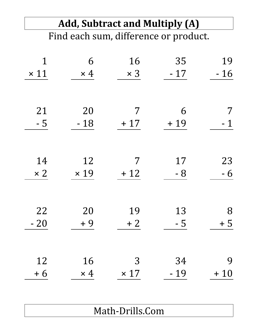|             | <b>Add, Subtract and Multiply (A)</b> |             |                                       |             |  |  |  |
|-------------|---------------------------------------|-------------|---------------------------------------|-------------|--|--|--|
|             |                                       |             | Find each sum, difference or product. |             |  |  |  |
|             |                                       |             |                                       |             |  |  |  |
| 1           | 6                                     | 16          | 35                                    | 19          |  |  |  |
| $\times$ 11 | $\times$ 4                            | $\times$ 3  | $-17$                                 | $-16$       |  |  |  |
|             |                                       |             |                                       |             |  |  |  |
| 21          | 20                                    | 7           | 6                                     |             |  |  |  |
| $-5$        | $-18$                                 | $+17$       | $+19$                                 | $\mathbf 1$ |  |  |  |
|             |                                       |             |                                       |             |  |  |  |
| 14          | 12                                    | 7           | 17                                    | 23          |  |  |  |
| $\times 2$  | $\times$ 19                           | $+12$       | - 8                                   | $-6$        |  |  |  |
|             |                                       |             |                                       |             |  |  |  |
| 22          | 20                                    | 19          | 13                                    | 8           |  |  |  |
| $-20$       | $+9$                                  | $+2$        | $-5$                                  | $+5$        |  |  |  |
|             |                                       |             |                                       |             |  |  |  |
| 12          | 16                                    | 3           | 34                                    | 9           |  |  |  |
| $+6$        | $\times$ 4                            | $\times$ 17 | $-19$                                 | $+10$       |  |  |  |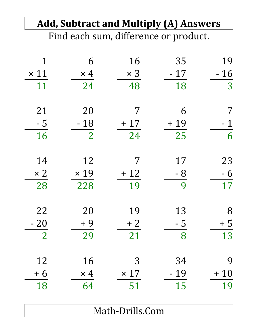|                |                | <b>Add, Subtract and Multiply (A) Answers</b> |                |       |
|----------------|----------------|-----------------------------------------------|----------------|-------|
|                |                | Find each sum, difference or product.         |                |       |
|                |                |                                               |                |       |
| 1              | 6              | 16                                            | 35             | 19    |
| $\times$ 11    | $\times$ 4     | $\times$ 3                                    | $-17$          | $-16$ |
| 11             | 24             | 48                                            | 18             | 3     |
| 21             | 20             | 7                                             | 6              |       |
| $-5$           | $-18$          | $+17$                                         | $+19$          | $-1$  |
| 16             | $\overline{2}$ | 24                                            | 25             | 6     |
| 14             | 12             | 7                                             | 17             | 23    |
| $\times 2$     | $\times$ 19    | $+12$                                         | $-8$           | $-6$  |
| 28             | 228            | 19                                            | 9              | 17    |
| 22             | 20             | 19                                            | 13             | 8     |
| $-20$          | $+9$           | $+2$                                          | $-\frac{5}{ }$ | $+5$  |
| $\overline{2}$ | 29             | 21                                            | 8              | 13    |
| 12             | 16             | 3                                             | 34             | 9     |
| $+6$           | $\times$ 4     | $\times$ 17                                   | $-19$          | $+10$ |
| 18             | 64             | 51                                            | 15             | 19    |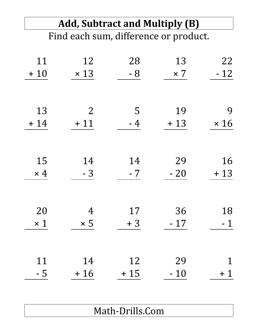## **Add, Subtract and Multiply (B)**

Find each sum, difference or product.

| 22          | 13         | 28    | 12             | 11         |
|-------------|------------|-------|----------------|------------|
| $-12$       | $\times 7$ | $-8$  | $\times$ 13    | $+10$      |
|             |            |       |                |            |
|             |            |       |                |            |
| 9           | 19         | 5     | $\overline{2}$ | 13         |
| $\times 16$ | $+13$      | $-4$  | $+11$          | $+14$      |
|             |            |       |                |            |
|             |            |       |                |            |
| 16          | 29         | 14    | 14             | 15         |
| $+13$       | $-20$      | $-7$  | $-3$           | $\times$ 4 |
|             |            |       |                |            |
|             |            |       |                |            |
| 18          | 36         | 17    | $\overline{4}$ | 20         |
| $-1$        | $-17$      | $+3$  | $\times 5$     | $\times$ 1 |
|             |            |       |                |            |
|             |            |       |                |            |
| $\mathbf 1$ | 29         | 12    | 14             | 11         |
| $+1$        | $-10$      | $+15$ | $+16$          | $-5$       |
|             |            |       |                |            |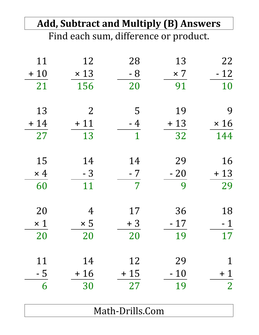### **Add, Subtract and Multiply (B) Answers** Find each sum, difference or product.

| 11         | 12             | 28             | 13         | 22             |
|------------|----------------|----------------|------------|----------------|
| $+10$      | $\times$ 13    | $-8$           | $\times$ 7 | $-12$          |
| 21         | 156            | 20             | 91         | 10             |
|            |                |                |            |                |
| 13         | $\overline{2}$ | 5              | 19         | 9              |
| $+14$      | $+11$          | $-4$           | $+13$      | $\times$ 16    |
| 27         | 13             | $\mathbf{1}$   | 32         | 144            |
|            |                |                |            |                |
| 15         | 14             | 14             | 29         | 16             |
| $\times$ 4 | $-3$           | $-7$           | $-20$      | $+13$          |
| 60         | 11             | $\overline{7}$ | 9          | 29             |
|            |                |                |            |                |
| 20         | 4              | 17             | 36         | 18             |
| $\times$ 1 | $\times 5$     | $+3$           | - 17       | - 1            |
| 20         | 20             | 20             | 19         | 17             |
|            |                |                |            |                |
| 11         | 14             | 12             | 29         | $\mathbf 1$    |
| $-5$       | $+16$          | $+15$          | $-10$      | $+1$           |
| 6          | 30             | 27             | 19         | $\overline{2}$ |
|            |                |                |            |                |
|            |                |                |            |                |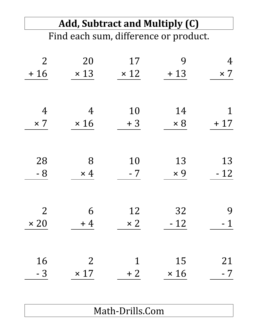## **Add, Subtract and Multiply (C)**

Find each sum, difference or product.

| $\overline{2}$ | 20             | 17          | 9           | 4           |
|----------------|----------------|-------------|-------------|-------------|
| $+16$          | $\times$ 13    | $\times$ 12 | $+13$       | $\times 7$  |
|                |                |             |             |             |
|                |                |             |             |             |
| $\overline{4}$ | $\overline{4}$ | 10          | 14          | $\mathbf 1$ |
| $\times 7$     | $\times 16$    | $+3$        | $\times 8$  | $+17$       |
|                |                |             |             |             |
|                |                |             |             |             |
| 28             | 8              | 10          | 13          | 13          |
| $-8$           | $\times$ 4     | $-7$        | $\times 9$  | $-12$       |
|                |                |             |             |             |
|                |                |             |             |             |
| $\overline{2}$ | 6              | 12          | 32          | 9           |
| $\times 20$    | $+4$           | $\times 2$  | $-12$       | $-1$        |
|                |                |             |             |             |
|                |                |             |             |             |
| 16             | $\overline{2}$ | $\mathbf 1$ | 15          | 21          |
| $-3$           | $\times$ 17    | $+2$        | $\times 16$ | $-7$        |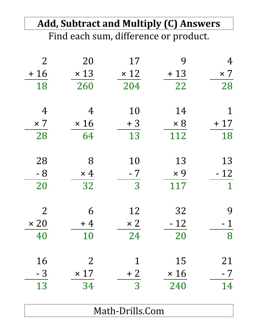## **Add, Subtract and Multiply (C) Answers**

Find each sum, difference or product.

| $\overline{2}$ | 20             | 17          | 9           | 4           |
|----------------|----------------|-------------|-------------|-------------|
| $+16$          | $\times$ 13    | $\times$ 12 | $+13$       | $\times$ 7  |
| 18             | 260            | 204         | 22          | 28          |
|                |                |             |             |             |
| $\overline{4}$ | 4              | 10          | 14          | 1           |
| $\times$ 7     | $\times 16$    | $+3$        | $\times 8$  | $+17$       |
| 28             | 64             | 13          | 112         | 18          |
|                |                |             |             |             |
| 28             | 8              | 10          | 13          | 13          |
| $-8$           | $\times$ 4     | $-7$        | $\times 9$  | $-12$       |
| 20             | 32             | 3           | 117         | $\mathbf 1$ |
|                |                |             |             |             |
| $\overline{2}$ | 6              | 12          | 32          | 9           |
| $\times 20$    | $+4$           | $\times 2$  | $-12$       | - 1         |
| 40             | 10             | 24          | 20          | 8           |
|                |                |             |             |             |
| 16             | $\overline{2}$ | $\mathbf 1$ | 15          | 21          |
| $-3$           | $\times$ 17    | $+2$        | $\times 16$ | $-7$        |
| 13             | 34             | 3           | 240         | 14          |
|                |                |             |             |             |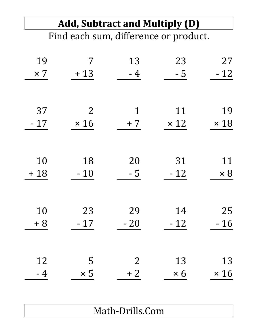#### **Add, Subtract and Multiply (D)** Find each sum, difference or product.

| 19         | 7              | 13             | 23          | 27          |
|------------|----------------|----------------|-------------|-------------|
| $\times 7$ | $+13$          | $-4$           | $-5$        | $-12$       |
|            |                |                |             |             |
|            |                |                |             |             |
| 37         | $\overline{2}$ | 1              | 11          | 19          |
| $-17$      | $\times 16$    | $+7$           | $\times$ 12 | $\times$ 18 |
|            |                |                |             |             |
|            |                |                |             |             |
| 10         | 18             | 20             | 31          | 11          |
| $+18$      | $-10$          | $-5$           | $-12$       | $\times 8$  |
|            |                |                |             |             |
|            |                |                |             |             |
| 10         | 23             | 29             | 14          | 25          |
| $+8$       | $-17$          | $-20$          | $-12$       | $-16$       |
|            |                |                |             |             |
|            |                |                |             |             |
| 12         | 5              | $\overline{2}$ | 13          | 13          |
| $-4$       | $\times 5$     | $+2$           | $\times 6$  | $\times 16$ |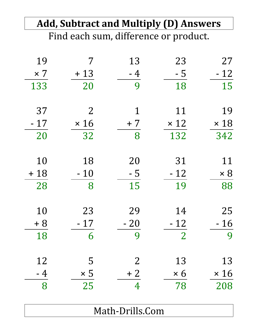|                |             | <b>Add, Subtract and Multiply (D) Answers</b> |                |             |
|----------------|-------------|-----------------------------------------------|----------------|-------------|
|                |             | Find each sum, difference or product.         |                |             |
| 19             | 7           | 13                                            | 23             | 27          |
| $\times$ 7     | $+13$       | $-4$                                          | $-5$           | $-12$       |
| 133            | 20          | 9                                             | 18             | 15          |
| 37             | 2           | 1                                             | 11             | 19          |
| $-17$          | $\times 16$ | $+7$                                          | $\times$ 12    | $\times$ 18 |
| 20             | 32          | 8                                             | 132            | 342         |
| 10             | 18          | 20                                            | 31             | 11          |
| $+18$          | $-10$       | $-5$                                          | $-12$          | $\times 8$  |
| 28             | 8           | 15                                            | 19             | 88          |
| 10             | 23          | 29                                            | 14             | 25          |
| $+8$           | $-17$       | $-20$                                         | $-12$          | $-16$       |
| 18             | 6           | 9                                             | $\overline{2}$ | 9           |
| 12             | 5           | $\overline{2}$                                | 13             | 13          |
|                | $\times$ 5  | $+2$                                          | $\times 6$     | $\times 16$ |
| $\frac{-4}{8}$ | 25          | 4                                             | 78             | 208         |
|                |             |                                               |                |             |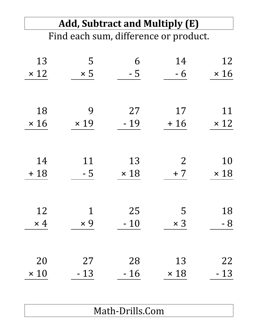| <b>Add, Subtract and Multiply (E)</b> |                                    |                                      |                                                                                     |  |  |
|---------------------------------------|------------------------------------|--------------------------------------|-------------------------------------------------------------------------------------|--|--|
|                                       |                                    |                                      |                                                                                     |  |  |
|                                       |                                    |                                      | 12                                                                                  |  |  |
|                                       |                                    |                                      |                                                                                     |  |  |
|                                       |                                    |                                      | $\times$ 16                                                                         |  |  |
|                                       |                                    |                                      |                                                                                     |  |  |
| 9                                     | 27                                 | 17                                   | 11                                                                                  |  |  |
| $\times$ 19                           | $-19$                              | $+16$                                | $\times$ 12                                                                         |  |  |
|                                       |                                    |                                      |                                                                                     |  |  |
|                                       |                                    |                                      | 10                                                                                  |  |  |
|                                       |                                    |                                      | $\times$ 18                                                                         |  |  |
|                                       |                                    |                                      |                                                                                     |  |  |
|                                       |                                    |                                      |                                                                                     |  |  |
| 1                                     | 25                                 | 5                                    | 18                                                                                  |  |  |
| $\times 9$                            | $-10$                              | $\times$ 3                           | $-8$                                                                                |  |  |
|                                       |                                    |                                      |                                                                                     |  |  |
|                                       |                                    |                                      | 22                                                                                  |  |  |
| $-13$                                 | $-16$                              | $\times$ 18                          | $-13$                                                                               |  |  |
|                                       | 5<br>$\times$ 5<br>11<br>- 5<br>27 | 6<br>$-5$<br>13<br>$\times$ 18<br>28 | Find each sum, difference or product.<br>14<br>$-6$<br>$\overline{2}$<br>$+7$<br>13 |  |  |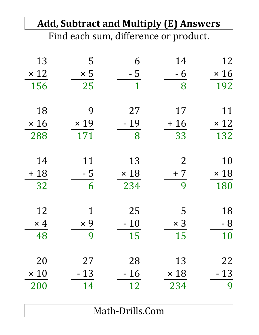|             |             |                 | <b>Add, Subtract and Multiply (E) Answers</b> |             |
|-------------|-------------|-----------------|-----------------------------------------------|-------------|
|             |             |                 | Find each sum, difference or product.         |             |
| 13          | 5           | 6               | 14                                            | 12          |
| $\times$ 12 | $\times 5$  | $-5$            | $-6$                                          | $\times$ 16 |
| 156         | 25          | 1               | 8                                             | 192         |
| 18          | 9           | 27              | 17                                            | 11          |
| $\times$ 16 | $\times$ 19 | $-19$           | $+16$                                         | $\times$ 12 |
| 288         | 171         | 8               | 33                                            | 132         |
| 14          | 11          | 13              | $\overline{2}$                                | 10          |
| $+18$       | $-5$        | $\times$ 18     | $+7$                                          | $\times$ 18 |
| 32          | 6           | 234             | 9                                             | 180         |
| 12          |             | 25              | 5                                             | 18          |
| $\times$ 4  | $\times 9$  | $-10$           | $\times$ 3                                    | $-8$        |
| 48          | 9           | 15              | 15                                            | 10          |
| 20          | 27          | 28              | 13                                            | 22          |
| $\times$ 10 | $-13$       | $-16$           | $\times$ 18                                   | $-13$       |
| 200         | 14          | 12              | 234                                           | 9           |
|             |             | Math-Drills.Com |                                               |             |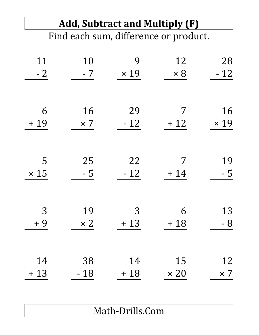#### **Add, Subtract and Multiply (F)** Find each sum, difference or product.

| 11          | 10         | 9           | 12          | 28          |
|-------------|------------|-------------|-------------|-------------|
| $-2$        | $-7$       | $\times$ 19 | $\times 8$  | $-12$       |
|             |            |             |             |             |
|             |            |             |             |             |
| 6           | 16         | 29          | 7           | 16          |
| $+19$       | $\times 7$ | $-12$       | $+12$       | $\times$ 19 |
|             |            |             |             |             |
|             |            |             |             |             |
| 5           | 25         | 22          | 7           | 19          |
| $\times$ 15 | $-5$       | $-12$       | $+14$       | $-5$        |
|             |            |             |             |             |
| 3           | 19         | 3           | 6           | 13          |
| $+9$        | $\times 2$ | $+13$       | $+18$       | $-8$        |
|             |            |             |             |             |
|             |            |             |             |             |
| 14          | 38         | 14          | 15          | 12          |
| $+13$       | $-18$      | $+18$       | $\times 20$ | $\times 7$  |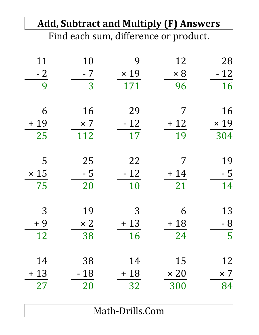|             |            | <b>Add, Subtract and Multiply (F) Answers</b> |             |             |
|-------------|------------|-----------------------------------------------|-------------|-------------|
|             |            | Find each sum, difference or product.         |             |             |
| 11          | 10         | 9                                             | 12          | 28          |
| $-2$        | $-7$       | $\times$ 19                                   | $\times 8$  | $-12$       |
| 9           | 3          | 171                                           | 96          | 16          |
| 6           | 16         | 29                                            | 7           | 16          |
| $+19$       | $\times 7$ | $-12$                                         | $+12$       | $\times$ 19 |
| 25          | 112        | 17                                            | 19          | 304         |
| 5           | 25         | 22                                            | 7           | 19          |
| $\times$ 15 | $-5$       | $-12$                                         | $+14$       | - 5         |
| 75          | 20         | 10                                            | 21          | 14          |
| 3           | 19         | 3                                             | 6           | 13          |
| $+9$        | $\times 2$ | $+13$                                         | $+18$       | - 8         |
| 12          | 38         | 16                                            | 24          | 5           |
| 14          | 38         | 14                                            | 15          | 12          |
| $+13$       | $-18$      | $+18$                                         | $\times 20$ | $\times$ 7  |
| 27          | 20         | 32                                            | 300         | 84          |
|             |            | Math-Drills Com                               |             |             |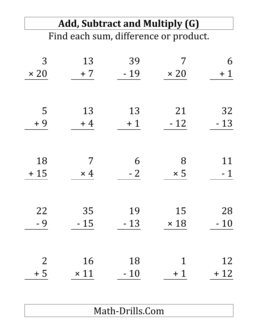#### **Add, Subtract and Multiply (G)** Find each sum, difference or product.

| 3              | 13          | 39    | 7           | 6     |
|----------------|-------------|-------|-------------|-------|
| $\times 20$    | $+7$        | $-19$ | $\times 20$ | $+1$  |
|                |             |       |             |       |
|                |             |       |             |       |
| 5              | 13          | 13    | 21          | 32    |
| $+9$           | $+4$        | $+1$  | $-12$       | $-13$ |
|                |             |       |             |       |
|                |             |       |             |       |
| 18             | 7           | 6     | 8           | 11    |
| $+15$          | $\times$ 4  | $-2$  | $\times 5$  | $-1$  |
|                |             |       |             |       |
|                |             |       |             |       |
| 22             | 35          | 19    | 15          | 28    |
| $-9$           | $-15$       | $-13$ | $\times$ 18 | $-10$ |
|                |             |       |             |       |
|                |             |       |             |       |
| $\overline{2}$ | 16          | 18    | 1           | 12    |
| $+5$           | $\times$ 11 | $-10$ | $+1$        | $+12$ |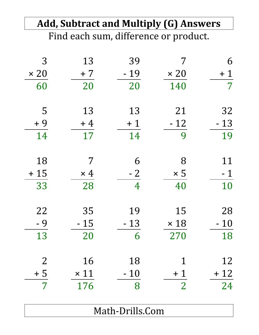| <b>Add, Subtract and Multiply (G) Answers</b><br>Find each sum, difference or product. |             |       |                |                |  |
|----------------------------------------------------------------------------------------|-------------|-------|----------------|----------------|--|
|                                                                                        |             |       |                |                |  |
| $\times 20$                                                                            | $+7$        | $-19$ | $\times 20$    | $+1$           |  |
| 60                                                                                     | 20          | 20    | 140            | $\overline{7}$ |  |
| 5                                                                                      | 13          | 13    | 21             | 32             |  |
| $+9$                                                                                   | $+4$        | $+1$  | $-12$          | $-13$          |  |
| 14                                                                                     | 17          | 14    | 9              | 19             |  |
| 18                                                                                     | 7           | 6     | 8              | 11             |  |
| $+15$                                                                                  | $\times$ 4  | $-2$  | $\times 5$     | $-1$           |  |
| 33                                                                                     | 28          | 4     | 40             | 10             |  |
| 22                                                                                     | 35          | 19    | 15             | 28             |  |
| - 9                                                                                    | $-15$       | $-13$ | $\times$ 18    | $-10$          |  |
| 13                                                                                     | 20          | 6     | 270            | 18             |  |
| $\overline{2}$                                                                         | 16          | 18    | 1              | 12             |  |
| $+5$                                                                                   | $\times$ 11 | $-10$ | $+1$           | $+12$          |  |
| $\overline{7}$                                                                         | 176         | 8     | $\overline{2}$ | 24             |  |
|                                                                                        |             |       |                |                |  |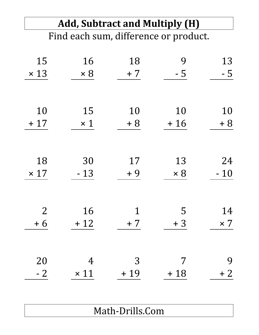| <b>Add, Subtract and Multiply (H)</b> |             |       |            |            |  |
|---------------------------------------|-------------|-------|------------|------------|--|
| Find each sum, difference or product. |             |       |            |            |  |
|                                       |             |       |            |            |  |
| 15                                    | 16          | 18    | 9          | 13         |  |
| $\times$ 13                           | $\times 8$  | $+7$  | $-5$       | - 5        |  |
|                                       |             |       |            |            |  |
| 10                                    | 15          | 10    | 10         | 10         |  |
| $+17$                                 | $\times$ 1  | $+8$  | $+16$      | $+8$       |  |
|                                       |             |       |            |            |  |
| 18                                    | 30          | 17    | 13         | 24         |  |
| $\times$ 17                           | $-13$       | + 9   | $\times 8$ | $-10$      |  |
|                                       |             |       |            |            |  |
| $\overline{2}$                        | 16          | 1     | 5          | 14         |  |
| $+6$                                  | $+12$       | $+7$  | $+3$       | $\times 7$ |  |
|                                       |             |       |            |            |  |
| 20                                    | 4           | 3     | 7          | 9          |  |
| $-2$                                  | $\times$ 11 | $+19$ | $+18$      | $+2$       |  |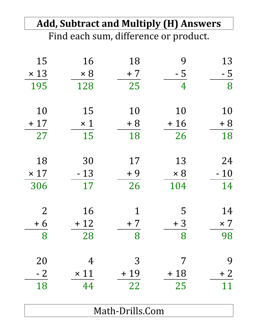| 16          | 18          | 9          | 13                                                                                     |
|-------------|-------------|------------|----------------------------------------------------------------------------------------|
| $\times 8$  | $+7$        | $-5$       | $-5$                                                                                   |
| 128         | 25          | 4          | 8                                                                                      |
| 15          | 10          | 10         | 10                                                                                     |
| $\times$ 1  | $+8$        | $+16$      | $+8$                                                                                   |
| 15          | 18          | 26         | 18                                                                                     |
| 30          | 17          | 13         | 24                                                                                     |
| $-13$       | $+9$        | $\times 8$ | $-10$                                                                                  |
| 17          | 26          | 104        | 14                                                                                     |
| 16          | $\mathbf 1$ | 5          | 14                                                                                     |
| $+12$       | $+7$        | $+3$       | $\times 7$                                                                             |
| 28          | 8           | 8          | 98                                                                                     |
| 4           | 3           | 7          | 9                                                                                      |
| $\times$ 11 | $+19$       | $+18$      | $+2$                                                                                   |
| 44          | 22          | 25         | 11                                                                                     |
|             |             |            | <b>Add, Subtract and Multiply (H) Answers</b><br>Find each sum, difference or product. |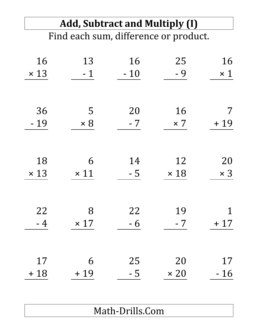## **Add, Subtract and Multiply (I)**

Find each sum, difference or product.

| 16          | 13          | 16    | 25          | 16          |
|-------------|-------------|-------|-------------|-------------|
| $\times$ 13 | $-1$        | $-10$ | $-9$        | $\times$ 1  |
|             |             |       |             |             |
| 36          | 5           | 20    | 16          | 7           |
| $-19$       | $\times 8$  | $-7$  | $\times 7$  | $+19$       |
|             |             |       |             |             |
| 18          | 6           | 14    | 12          | 20          |
| $\times$ 13 | $\times$ 11 | $-5$  | $\times$ 18 | $\times$ 3  |
|             |             |       |             |             |
| 22          | 8           | 22    | 19          | $\mathbf 1$ |
| $-4$        | $\times$ 17 | $-6$  | $-7$        | $+17$       |
|             |             |       |             |             |
| 17          | 6           | 25    | 20          | 17          |
| $+18$       | $+19$       | $-5$  | $\times 20$ | $-16$       |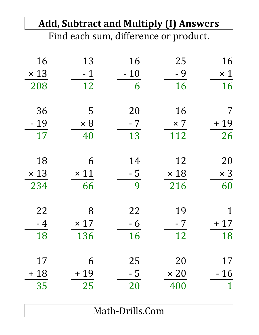|             |             |       | <b>Add, Subtract and Multiply (I) Answers</b> |              |
|-------------|-------------|-------|-----------------------------------------------|--------------|
|             |             |       | Find each sum, difference or product.         |              |
| 16          | 13          | 16    | 25                                            | 16           |
| $\times$ 13 | $-1$        | $-10$ | $-9$                                          | $\times$ 1   |
| 208         | 12          | 6     | 16                                            | 16           |
| 36          | 5           | 20    | 16                                            | 7            |
| $-19$       | $\times 8$  | $-7$  | $\times$ 7                                    | $+19$        |
| 17          | 40          | 13    | 112                                           | 26           |
| 18          | 6           | 14    | 12                                            | 20           |
| $\times$ 13 | $\times$ 11 | $-5$  | $\times$ 18                                   | $\times$ 3   |
| 234         | 66          | 9     | 216                                           | 60           |
| 22          | 8           | 22    | 19                                            | $\mathbf 1$  |
| $-4$        | $\times$ 17 | $-6$  | $-7$                                          | $+17$        |
| 18          | 136         | 16    | 12                                            | 18           |
| 17          | 6           | 25    | 20                                            | 17           |
| $+18$       | $+19$       | $-5$  | $\times 20$                                   | $-16$        |
| 35          | 25          | 20    | 400                                           | $\mathbf{1}$ |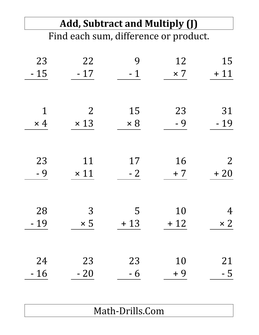## **Add, Subtract and Multiply (J)**

Find each sum, difference or product.

| 23<br>$-15$ | 22<br>$-17$    | 9<br>$-1$  | 12<br>$\times 7$ | 15<br>$+11$    |
|-------------|----------------|------------|------------------|----------------|
|             |                |            |                  |                |
| $\mathbf 1$ | $\overline{2}$ | 15         | 23               | 31             |
| $\times$ 4  | $\times$ 13    | $\times 8$ | $-9$             | $-19$          |
|             |                |            |                  |                |
| 23          | 11             | 17         | 16               | $\overline{2}$ |
| - 9         | $\times$ 11    | $-2$       | $+7$             | $+20$          |
|             |                |            |                  |                |
| 28          | 3              | 5          | 10               | $\overline{4}$ |
| $-19$       | $\times 5$     | $+13$      | $+12$            | $\times 2$     |
|             |                |            |                  |                |
| 24          | 23             | 23         | 10               | 21             |
| $-16$       | $-20$          | $-6$       | $+9$             | $-5$           |